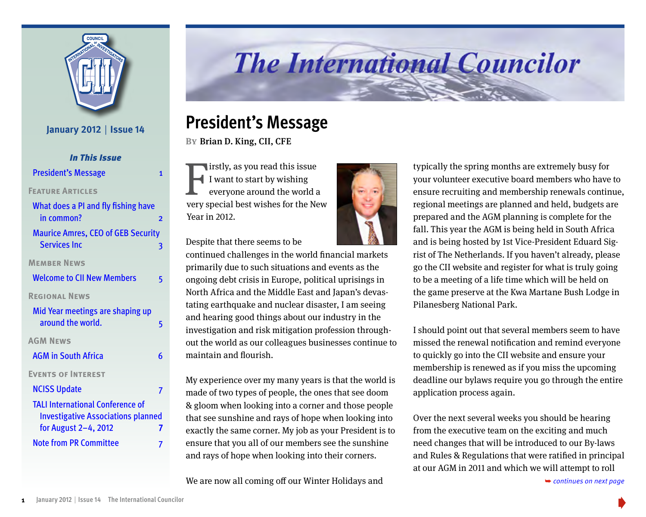

#### **January 2012** | **Issue 14**

| <b>In This Issue</b>                                                                                              |  |
|-------------------------------------------------------------------------------------------------------------------|--|
| <b>President's Message</b><br>1                                                                                   |  |
| <b>FEATURE ARTICLES</b>                                                                                           |  |
| What does a PI and fly fishing have<br>in common?<br>$\overline{2}$                                               |  |
| <b>Maurice Amres, CEO of GEB Security</b><br><b>Services Inc.</b><br>3                                            |  |
| <b>MEMBER NEWS</b>                                                                                                |  |
| <b>Welcome to CII New Members</b><br>5                                                                            |  |
| <b>REGIONAL NEWS</b>                                                                                              |  |
| Mid Year meetings are shaping up<br>around the world.<br>5                                                        |  |
| <b>AGM NEWS</b>                                                                                                   |  |
| <b>AGM in South Africa</b><br>6                                                                                   |  |
| <b>EVENTS OF INTEREST</b>                                                                                         |  |
| <b>NCISS Update</b><br>7                                                                                          |  |
| <b>TALI International Conference of</b><br><b>Investigative Associations planned</b><br>for August 2-4, 2012<br>7 |  |
| <b>Note from PR Committee</b><br>7                                                                                |  |

# **The International Councilor**

### **President's Message**

**By**Brian D. King, CII, CFE

I irstly, as you read this issue<br>I want to start by wishing<br>everyone around the world a<br>very special best wishes for the New irstly, as you read this issue I want to start by wishing everyone around the world a Year in 2012.

Despite that there seems to be

continued challenges in the world financial markets primarily due to such situations and events as the ongoing debt crisis in Europe, political uprisings in North Africa and the Middle East and Japan's devastating earthquake and nuclear disaster, I am seeing and hearing good things about our industry in the investigation and risk mitigation profession throughout the world as our colleagues businesses continue to maintain and flourish.

My experience over my many years is that the world is made of two types of people, the ones that see doom & gloom when looking into a corner and those people that see sunshine and rays of hope when looking into exactly the same corner. My job as your President is to ensure that you all of our members see the sunshine and rays of hope when looking into their corners.

We are now all coming off our Winter Holidays and



typically the spring months are extremely busy for your volunteer executive board members who have to ensure recruiting and membership renewals continue, regional meetings are planned and held, budgets are prepared and the AGM planning is complete for the fall. This year the AGM is being held in South Africa and is being hosted by 1st Vice-President Eduard Sigrist of The Netherlands. If you haven't already, please go the CII website and register for what is truly going to be a meeting of a life time which will be held on the game preserve at the Kwa Martane Bush Lodge in Pilanesberg National Park.

I should point out that several members seem to have missed the renewal notification and remind everyone to quickly go into the CII website and ensure your membership is renewed as if you miss the upcoming deadline our bylaws require you go through the entire application process again.

Over the next several weeks you should be hearing from the executive team on the exciting and much need changes that will be introduced to our By-laws and Rules & Regulations that were ratified in principal [at our AGM in 2011 and which we will attempt to roll](#page-1-0) 

➥ *continues on next page*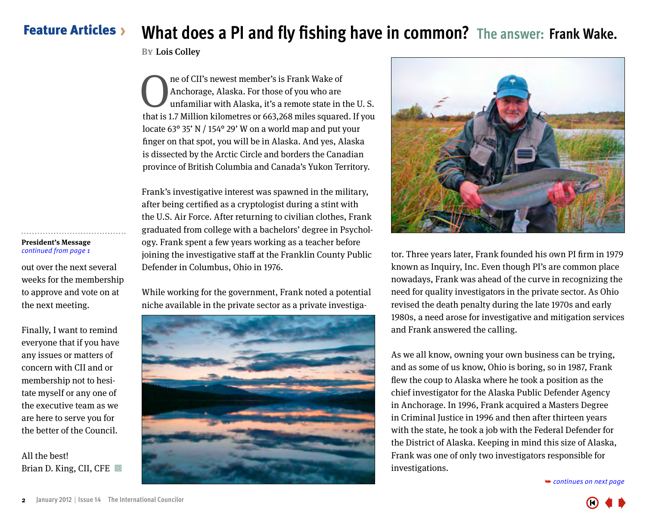### <span id="page-1-0"></span>Feature Articles **What does a PI and fly fishing have in common? The answer: Frank Wake.**

**BY** Lois Colley

The of CII's newest member's is Frank Wake of<br>Anchorage, Alaska. For those of you who are<br>unfamiliar with Alaska, it's a remote state in t<br>that is 17 Million kilometres or 663,268 miles square Anchorage, Alaska. For those of you who are unfamiliar with Alaska, it's a remote state in the U. S. that is 1.7 Million kilometres or 663,268 miles squared. If you locate 63° 35' N / 154° 29' W on a world map and put your finger on that spot, you will be in Alaska. And yes, Alaska is dissected by the Arctic Circle and borders the Canadian province of British Columbia and Canada's Yukon Territory.

Frank's investigative interest was spawned in the military, after being certified as a cryptologist during a stint with the U.S. Air Force. After returning to civilian clothes, Frank graduated from college with a bachelors' degree in Psychology. Frank spent a few years working as a teacher before joining the investigative staff at the Franklin County Public Defender in Columbus, Ohio in 1976.

While working for the government, Frank noted a potential niche available in the private sector as a private investiga-





tor. Three years later, Frank founded his own PI firm in 1979 known as Inquiry, Inc. Even though PI's are common place nowadays, Frank was ahead of the curve in recognizing the need for quality investigators in the private sector. As Ohio revised the death penalty during the late 1970s and early 1980s, a need arose for investigative and mitigation services and Frank answered the calling.

As we all know, owning your own business can be trying, and as some of us know, Ohio is boring, so in 1987, Frank flew the coup to Alaska where he took a position as the chief investigator for the Alaska Public Defender Agency in Anchorage. In 1996, Frank acquired a Masters Degree in Criminal Justice in 1996 and then after thirteen years with the state, he took a job with the Federal Defender for the District of Alaska. Keeping in mind this size of Alaska, Frank was one of only two investigators responsible for investigations.

➥ *[continues on next page](#page-2-0)*



out over the next several weeks for the membership to approve and vote on at the next meeting.

Finally, I want to remind everyone that if you have any issues or matters of concern with CII and or membership not to hesitate myself or any one of the executive team as we are here to serve you for the better of the Council.

All the best! Brian D. King, CII, CFE  $\Box$ 

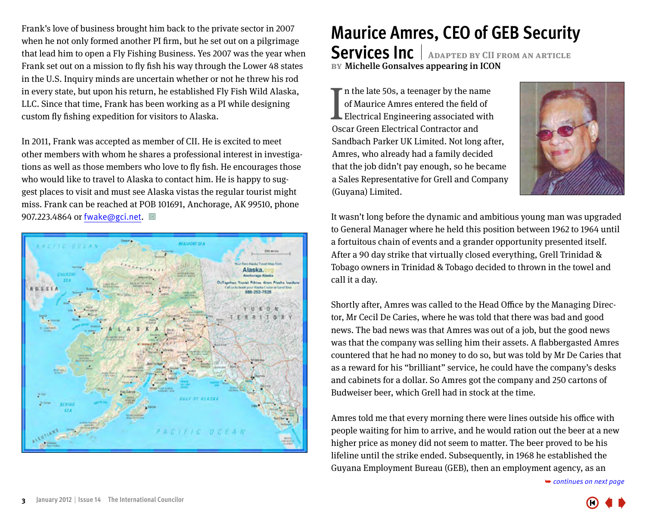<span id="page-2-0"></span>Frank's love of business brought him back to the private sector in 2007 when he not only formed another PI firm, but he set out on a pilgrimage that lead him to open a Fly Fishing Business. Yes 2007 was the year when Frank set out on a mission to fly fish his way through the Lower 48 states in the U.S. Inquiry minds are uncertain whether or not he threw his rod in every state, but upon his return, he established Fly Fish Wild Alaska, LLC. Since that time, Frank has been working as a PI while designing custom fly fishing expedition for visitors to Alaska.

In 2011, Frank was accepted as member of CII. He is excited to meet other members with whom he shares a professional interest in investigations as well as those members who love to fly fish. He encourages those who would like to travel to Alaska to contact him. He is happy to suggest places to visit and must see Alaska vistas the regular tourist might miss. Frank can be reached at POB 101691, Anchorage, AK 99510, phone 907.223.4864 or fwake@gci.net. 回



# **Maurice Amres, CEO of GEB Security**

**Services Inc Adapted by CII from an article BY** Michelle Gonsalves appearing in ICON

In the late 50s, a teenager by the naise of Maurice Amres entered the field Electrical Engineering associated v<br>Oscar Green Electrical Contractor and If n the late 50s, a teenager by the name of Maurice Amres entered the field of Electrical Engineering associated with Sandbach Parker UK Limited. Not long after, Amres, who already had a family decided that the job didn't pay enough, so he became a Sales Representative for Grell and Company (Guyana) Limited.



It wasn't long before the dynamic and ambitious young man was upgraded to General Manager where he held this position between 1962 to 1964 until a fortuitous chain of events and a grander opportunity presented itself. After a 90 day strike that virtually closed everything, Grell Trinidad & Tobago owners in Trinidad & Tobago decided to thrown in the towel and call it a day.

Shortly after, Amres was called to the Head Office by the Managing Director, Mr Cecil De Caries, where he was told that there was bad and good news. The bad news was that Amres was out of a job, but the good news was that the company was selling him their assets. A flabbergasted Amres countered that he had no money to do so, but was told by Mr De Caries that as a reward for his "brilliant" service, he could have the company's desks and cabinets for a dollar. So Amres got the company and 250 cartons of Budweiser beer, which Grell had in stock at the time.

Amres told me that every morning there were lines outside his office with people waiting for him to arrive, and he would ration out the beer at a new higher price as money did not seem to matter. The beer proved to be his lifeline until the strike ended. Subsequently, in 1968 he established the Guyana Employment Bureau (GEB), t[hen an employment agency, as an](#page-3-0) 

➥ *continues on next page*

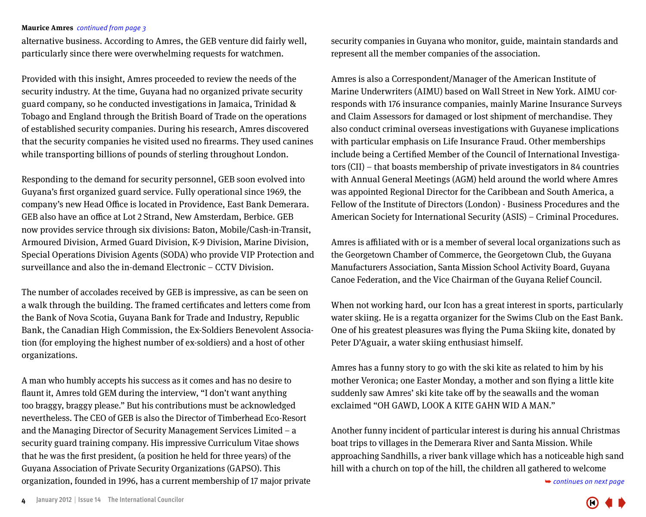#### <span id="page-3-0"></span>**Maurice Amres** *continued from page 3*

alternative business. According to Amres, the GEB venture did fairly well, particularly since there were overwhelming requests for watchmen.

Provided with this insight, Amres proceeded to review the needs of the security industry. At the time, Guyana had no organized private security guard company, so he conducted investigations in Jamaica, Trinidad & Tobago and England through the British Board of Trade on the operations of established security companies. During his research, Amres discovered that the security companies he visited used no firearms. They used canines while transporting billions of pounds of sterling throughout London.

Responding to the demand for security personnel, GEB soon evolved into Guyana's first organized guard service. Fully operational since 1969, the company's new Head Office is located in Providence, East Bank Demerara. GEB also have an office at Lot 2 Strand, New Amsterdam, Berbice. GEB now provides service through six divisions: Baton, Mobile/Cash-in-Transit, Armoured Division, Armed Guard Division, K-9 Division, Marine Division, Special Operations Division Agents (SODA) who provide VIP Protection and surveillance and also the in-demand Electronic – CCTV Division.

The number of accolades received by GEB is impressive, as can be seen on a walk through the building. The framed certificates and letters come from the Bank of Nova Scotia, Guyana Bank for Trade and Industry, Republic Bank, the Canadian High Commission, the Ex-Soldiers Benevolent Association (for employing the highest number of ex-soldiers) and a host of other organizations.

A man who humbly accepts his success as it comes and has no desire to flaunt it, Amres told GEM during the interview, "I don't want anything too braggy, braggy please." But his contributions must be acknowledged nevertheless. The CEO of GEB is also the Director of Timberhead Eco-Resort and the Managing Director of Security Management Services Limited – a security guard training company. His impressive Curriculum Vitae shows that he was the first president, (a position he held for three years) of the Guyana Association of Private Security Organizations (GAPSO). This organization, founded in 1996, has a current membership of 17 major private security companies in Guyana who monitor, guide, maintain standards and represent all the member companies of the association.

Amres is also a Correspondent/Manager of the American Institute of Marine Underwriters (AIMU) based on Wall Street in New York. AIMU corresponds with 176 insurance companies, mainly Marine Insurance Surveys and Claim Assessors for damaged or lost shipment of merchandise. They also conduct criminal overseas investigations with Guyanese implications with particular emphasis on Life Insurance Fraud. Other memberships include being a Certified Member of the Council of International Investigators (CII) – that boasts membership of private investigators in 84 countries with Annual General Meetings (AGM) held around the world where Amres was appointed Regional Director for the Caribbean and South America, a Fellow of the Institute of Directors (London) - Business Procedures and the American Society for International Security (ASIS) – Criminal Procedures.

Amres is affiliated with or is a member of several local organizations such as the Georgetown Chamber of Commerce, the Georgetown Club, the Guyana Manufacturers Association, Santa Mission School Activity Board, Guyana Canoe Federation, and the Vice Chairman of the Guyana Relief Council.

When not working hard, our Icon has a great interest in sports, particularly water skiing. He is a regatta organizer for the Swims Club on the East Bank. One of his greatest pleasures was flying the Puma Skiing kite, donated by Peter D'Aguair, a water skiing enthusiast himself.

Amres has a funny story to go with the ski kite as related to him by his mother Veronica; one Easter Monday, a mother and son flying a little kite suddenly saw Amres' ski kite take off by the seawalls and the woman exclaimed "OH GAWD, LOOK A KITE GAHN WID A MAN."

Another funny incident of particular interest is during his annual Christmas boat trips to villages in the Demerara River and Santa Mission. While approaching Sandhills, a river bank village which has a noticeable high sand hill with a church on top of the hill, t[he children all gathered to welcome](#page-4-0) 

➥ *continues on next page*

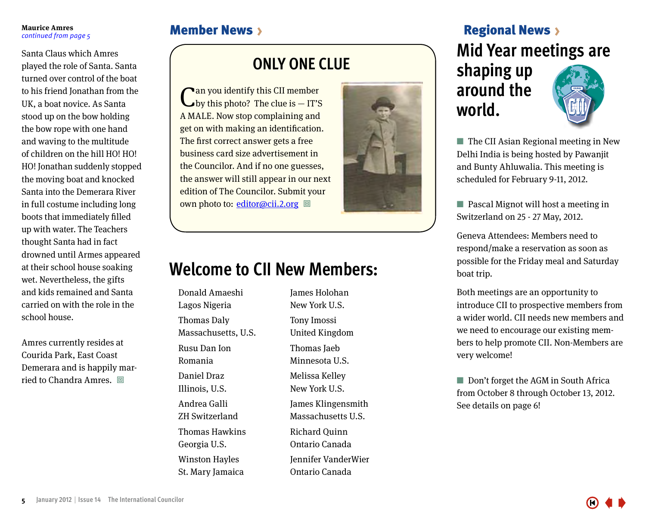#### <span id="page-4-0"></span>**Maurice Amres** *continued from page 5*

Santa Claus which Amres played the role of Santa. Santa turned over control of the boat to his friend Jonathan from the UK, a boat novice. As Santa stood up on the bow holding the bow rope with one hand and waving to the multitude of children on the hill HO! HO! HO! Jonathan suddenly stopped the moving boat and knocked Santa into the Demerara River in full costume including long boots that immediately filled up with water. The Teachers thought Santa had in fact drowned until Armes appeared at their school house soaking wet. Nevertheless, the gifts and kids remained and Santa carried on with the role in the school house.

Amres currently resides at Courida Park, East Coast Demerara and is happily married to Chandra Amres.  $\Box$ 

#### **ONLY ONE CLUE**

Can you identify this CII member by this photo? The clue is — IT'S A MALE. Now stop complaining and get on with making an identification. The first correct answer gets a free business card size advertisement in the Councilor. And if no one guesses, the answer will still appear in our next edition of The Councilor. Submit your own photo to: <u>editor</u>@cii.2.org □



### **Welcome to CII New Members:**

Donald Amaeshi Lagos Nigeria Thomas Daly Massachusetts, U.S. Rusu Dan Ion Romania Daniel Draz Illinois, U.S. Andrea Galli ZH Switzerland Thomas Hawkins Georgia U.S. Winston Hayles St. Mary Jamaica

James Holohan New York U.S. Tony Imossi United Kingdom Thomas Jaeb Minnesota U.S. Melissa Kelley New York U.S. James Klingensmith Massachusetts U.S. Richard Quinn Ontario Canada Jennifer VanderWier Ontario Canada

### Member News > News Regional News > News Regional News > News Regional News > News >  $\mathbb{R}$ **Mid Year meetings are shaping up around the world.**

 $\blacksquare$  The CII Asian Regional meeting in New Delhi India is being hosted by Pawanjit and Bunty Ahluwalia. This meeting is scheduled for February 9-11, 2012.

 $\blacksquare$  Pascal Mignot will host a meeting in Switzerland on 25 - 27 May, 2012.

Geneva Attendees: Members need to respond/make a reservation as soon as possible for the Friday meal and Saturday boat trip.

Both meetings are an opportunity to introduce CII to prospective members from a wider world. CII needs new members and we need to encourage our existing members to help promote CII. Non-Members are very welcome!

 $\Box$  Don't forget the AGM in South Africa from October 8 through October 13, 2012. See details on page 6!

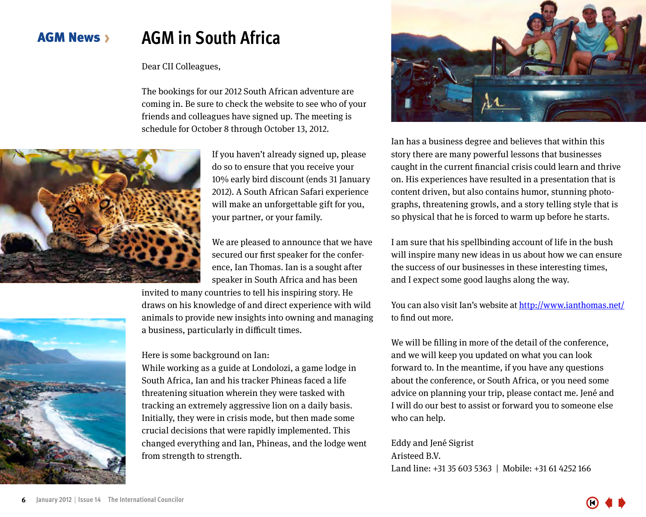#### <span id="page-5-0"></span>AGM News **AGM in South Africa**

#### Dear CII Colleagues,

The bookings for our 2012 South African adventure are coming in. Be sure to check the website to see who of your friends and colleagues have signed up. The meeting is schedule for October 8 through October 13, 2012.



If you haven't already signed up, please do so to ensure that you receive your 10% early bird discount (ends 31 January 2012). A South African Safari experience will make an unforgettable gift for you, your partner, or your family.

We are pleased to announce that we have secured our first speaker for the conference, Ian Thomas. Ian is a sought after speaker in South Africa and has been

invited to many countries to tell his inspiring story. He draws on his knowledge of and direct experience with wild animals to provide new insights into owning and managing a business, particularly in difficult times.

#### Here is some background on Ian:

While working as a guide at Londolozi, a game lodge in South Africa, Ian and his tracker Phineas faced a life threatening situation wherein they were tasked with tracking an extremely aggressive lion on a daily basis. Initially, they were in crisis mode, but then made some crucial decisions that were rapidly implemented. This changed everything and Ian, Phineas, and the lodge went from strength to strength.



Ian has a business degree and believes that within this story there are many powerful lessons that businesses caught in the current financial crisis could learn and thrive on. His experiences have resulted in a presentation that is content driven, but also contains humor, stunning photographs, threatening growls, and a story telling style that is so physical that he is forced to warm up before he starts.

I am sure that his spellbinding account of life in the bush will inspire many new ideas in us about how we can ensure the success of our businesses in these interesting times, and I expect some good laughs along the way.

You can also visit Ian's website at <http://www.ianthomas.net/> to find out more.

We will be filling in more of the detail of the conference, and we will keep you updated on what you can look forward to. In the meantime, if you have any questions about the conference, or South Africa, or you need some advice on planning your trip, please contact me. Jené and I will do our best to assist or forward you to someone else who can help.

Eddy and Jené Sigrist Aristeed B.V. Land line: +31 35 603 5363 | Mobile: +31 61 4252 166